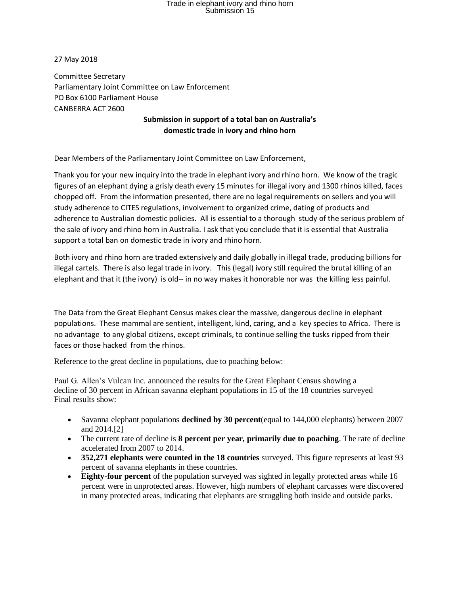## Trade in elephant ivory and rhino horn<br>Submission 15

27 May 2018

Committee Secretary Parliamentary Joint Committee on Law Enforcement PO Box 6100 Parliament House CANBERRA ACT 2600

## **Submission in support of a total ban on Australia's domestic trade in ivory and rhino horn**

Dear Members of the Parliamentary Joint Committee on Law Enforcement,

Thank you for your new inquiry into the trade in elephant ivory and rhino horn. We know of the tragic figures of an elephant dying a grisly death every 15 minutes for illegal ivory and 1300 rhinos killed, faces chopped off. From the information presented, there are no legal requirements on sellers and you will study adherence to CITES regulations, involvement to organized crime, dating of products and adherence to Australian domestic policies. All is essential to a thorough study of the serious problem of the sale of ivory and rhino horn in Australia. I ask that you conclude that it is essential that Australia support a total ban on domestic trade in ivory and rhino horn.

Both ivory and rhino horn are traded extensively and daily globally in illegal trade, producing billions for illegal cartels. There is also legal trade in ivory. This (legal) ivory still required the brutal killing of an elephant and that it (the ivory) is old-- in no way makes it honorable nor was the killing less painful.

The Data from the Great Elephant Census makes clear the massive, dangerous decline in elephant populations. These mammal are sentient, intelligent, kind, caring, and a key species to Africa. There is no advantage to any global citizens, except criminals, to continue selling the tusks ripped from their faces or those hacked from the rhinos.

Reference to the great decline in populations, due to poaching below:

Paul G. Allen's [Vulcan Inc.](http://www.vulcan.com/) announced the results for the Great Elephant Census showing a decline of 30 percent in African savanna elephant populations in 15 of the 18 countries surveyed Final results show:

- Savanna elephant populations **declined by 30 percent**(equal to 144,000 elephants) between 2007 and 2014[.\[2\]](file://///st_helens/CommGrp/Philanthropy/Wildlife/GEC/GEC%20Final%20Results%20Materials/FIINAL%20GEC%20results%20release.docx%23_ftn2)
- The current rate of decline is **8 percent per year, primarily due to poaching**. The rate of decline accelerated from 2007 to 2014.
- **352,271 elephants were counted in the 18 countries** surveyed. This figure represents at least 93 percent of savanna elephants in these countries.
- **Eighty-four percent** of the population surveyed was sighted in legally protected areas while 16 percent were in unprotected areas. However, high numbers of elephant carcasses were discovered in many protected areas, indicating that elephants are struggling both inside and outside parks.